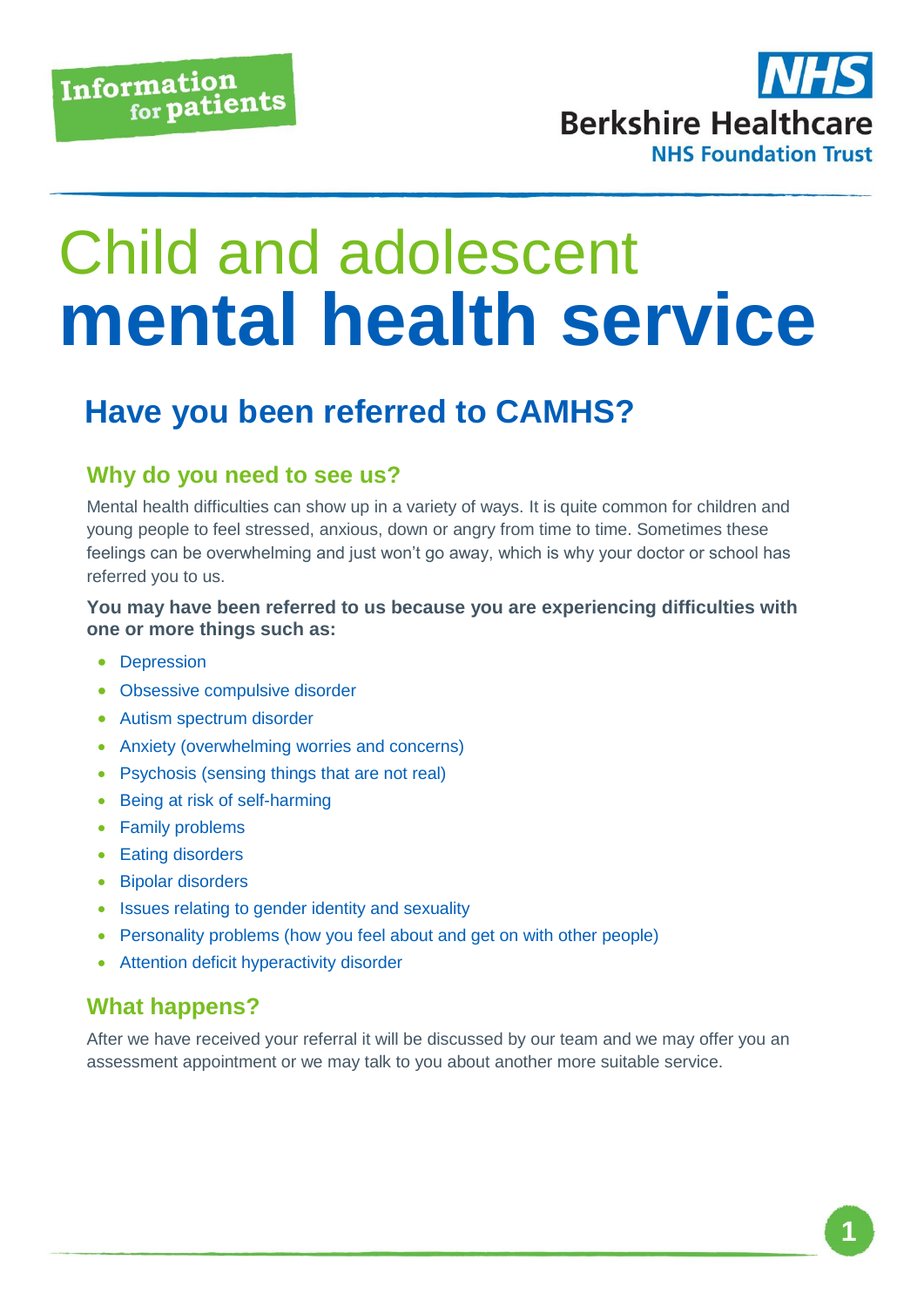

# Child and adolescent **mental health service**

### **Have you been referred to CAMHS?**

#### **Why do you need to see us?**

Mental health difficulties can show up in a variety of ways. It is quite common for children and young people to feel stressed, anxious, down or angry from time to time. Sometimes these feelings can be overwhelming and just won't go away, which is why your doctor or school has referred you to us.

#### **You may have been referred to us because you are experiencing difficulties with one or more things such as:**

- Depression
- Obsessive compulsive disorder
- Autism spectrum disorder
- Anxiety (overwhelming worries and concerns)
- Psychosis (sensing things that are not real)
- Being at risk of self-harming
- Family problems
- Eating disorders
- Bipolar disorders
- Issues relating to gender identity and sexuality
- Personality problems (how you feel about and get on with other people)
- Attention deficit hyperactivity disorder

#### **What happens?**

After we have received your referral it will be discussed by our team and we may offer you an assessment appointment or we may talk to you about another more suitable service.